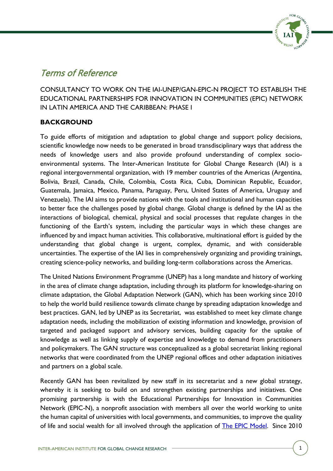

# Terms of Reference

CONSULTANCY TO WORK ON THE IAI-UNEP/GAN-EPIC-N PROJECT TO ESTABLISH THE EDUCATIONAL PARTNERSHIPS FOR INNOVATION IN COMMUNITIES (EPIC) NETWORK IN LATIN AMERICA AND THE CARIBBEAN: PHASE I

## **BACKGROUND**

To guide efforts of mitigation and adaptation to global change and support policy decisions, scientific knowledge now needs to be generated in broad transdisciplinary ways that address the needs of knowledge users and also provide profound understanding of complex socioenvironmental systems. The Inter-American Institute for Global Change Research (IAI) is a regional intergovernmental organization, with 19 member countries of the Americas (Argentina, Bolivia, Brazil, Canada, Chile, Colombia, Costa Rica, Cuba, Dominican Republic, Ecuador, Guatemala, Jamaica, Mexico, Panama, Paraguay, Peru, United States of America, Uruguay and Venezuela). The IAI aims to provide nations with the tools and institutional and human capacities to better face the challenges posed by global change. Global change is defined by the IAI as the interactions of biological, chemical, physical and social processes that regulate changes in the functioning of the Earth's system, including the particular ways in which these changes are influenced by and impact human activities. This collaborative, multinational effort is guided by the understanding that global change is urgent, complex, dynamic, and with considerable uncertainties. The expertise of the IAI lies in comprehensively organizing and providing trainings, creating science-policy networks, and building long-term collaborations across the Americas.

The United Nations Environment Programme (UNEP) has a long mandate and history of working in the area of climate change adaptation, including through its platform for knowledge-sharing on climate adaptation, the Global Adaptation Network (GAN), which has been working since 2010 to help the world build resilience towards climate change by spreading adaptation knowledge and best practices. GAN, led by UNEP as its Secretariat, was established to meet key climate change adaptation needs, including the mobilization of existing information and knowledge, provision of targeted and packaged support and advisory services, building capacity for the uptake of knowledge as well as linking supply of expertise and knowledge to demand from practitioners and policymakers. The GAN structure was conceptualized as a global secretariat linking regional networks that were coordinated from the UNEP regional offices and other adaptation initiatives and partners on a global scale.

Recently GAN has been revitalized by new staff in its secretariat and a new global strategy, whereby it is seeking to build on and strengthen existing partnerships and initiatives. One promising partnership is with the Educational Partnerships for Innovation in Communities Network (EPIC-N), a nonprofit association with members all over the world working to unite the human capital of universities with local governments, and communities, to improve the quality of life and social wealth for all involved through the application of [The EPIC](https://www.epicn.org/the-epic-model/) Model. Since 2010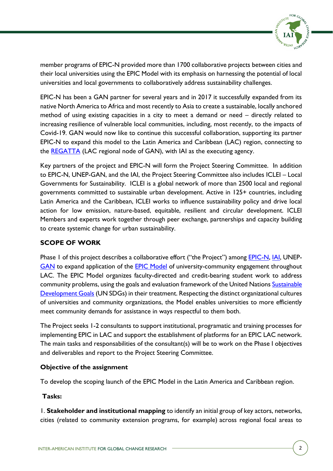

member programs of EPIC-N provided more than 1700 collaborative projects between cities and their local universities using the EPIC Model with its emphasis on harnessing the potential of local universities and local governments to collaboratively address sustainability challenges.

EPIC-N has been a GAN partner for several years and in 2017 it successfully expanded from its native North America to Africa and most recently to Asia to create a sustainable, locally anchored method of using existing capacities in a city to meet a demand or need – directly related to increasing resilience of vulnerable local communities, including, most recently, to the impacts of Covid-19. GAN would now like to continue this successful collaboration, supporting its partner EPIC-N to expand this model to the Latin America and Caribbean (LAC) region, connecting to the [REGATTA](https://cambioclimatico-regatta.org/index.php/en/) (LAC regional node of GAN), with IAI as the executing agency.

Key partners of the project and EPIC-N will form the Project Steering Committee. In addition to EPIC-N, UNEP-GAN, and the IAI, the Project Steering Committee also includes ICLEI – Local Governments for Sustainability. ICLEI is a global network of more than 2500 local and regional governments committed to sustainable urban development. Active in 125+ countries, including Latin America and the Caribbean, ICLEI works to influence sustainability policy and drive local action for low emission, nature-based, equitable, resilient and circular development. ICLEI Members and experts work together through peer exchange, partnerships and capacity building to create systemic change for urban sustainability.

### **SCOPE OF WORK**

Phase 1 of this project describes a collaborative effort ("the Project") among **EPIC-N, IAI**, UNEP-[GAN](https://www.unep.org/gan/) to expand application of the **[EPIC Model](https://www.epicn.org/the-epic-model/)** of university-community engagement throughout LAC. The EPIC Model organizes faculty-directed and credit-bearing student work to address community problems, using the goals and evaluation framework of the United Nations Sustainable [Development Goals](https://sdgs.un.org/goals) (UN SDGs) in their treatment. Respecting the distinct organizational cultures of universities and community organizations, the Model enables universities to more efficiently meet community demands for assistance in ways respectful to them both.

The Project seeks 1-2 consultants to support institutional, programatic and training processes for implementing EPIC in LAC and support the establishment of platforms for an EPIC LAC network. The main tasks and responsabilities of the consultant(s) will be to work on the Phase I objectives and deliverables and report to the Project Steering Committee.

#### **Objective of the assignment**

To develop the scoping launch of the EPIC Model in the Latin America and Caribbean region.

#### **Tasks:**

1. **Stakeholder and institutional mapping** to identify an initial group of key actors, networks, cities (related to community extension programs, for example) across regional focal areas to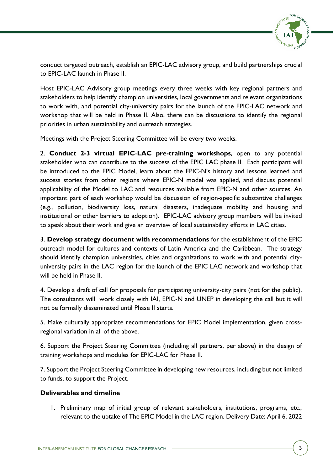

conduct targeted outreach, establish an EPIC-LAC advisory group, and build partnerships crucial to EPIC-LAC launch in Phase II.

Host EPIC-LAC Advisory group meetings every three weeks with key regional partners and stakeholders to help identify champion universities, local governments and relevant organizations to work with, and potential city-university pairs for the launch of the EPIC-LAC network and workshop that will be held in Phase II. Also, there can be discussions to identify the regional priorities in urban sustainability and outreach strategies.

Meetings with the Project Steering Committee will be every two weeks.

2. **Conduct 2-3 virtual EPIC**-**LAC pre-training workshops**, open to any potential stakeholder who can contribute to the success of the EPIC LAC phase II. Each participant will be introduced to the EPIC Model, learn about the EPIC-N's history and lessons learned and success stories from other regions where EPIC-N model was applied, and discuss potential applicability of the Model to LAC and resources available from EPIC-N and other sources. An important part of each workshop would be discussion of region-specific substantive challenges (e.g., pollution, biodiversity loss, natural disasters, inadequate mobility and housing and institutional or other barriers to adoption). EPIC-LAC advisory group members will be invited to speak about their work and give an overview of local sustainability efforts in LAC cities.

3. **Develop strategy document with recommendations** for the establishment of the EPIC outreach model for cultures and contexts of Latin America and the Caribbean. The strategy should identify champion universities, cities and organizations to work with and potential cityuniversity pairs in the LAC region for the launch of the EPIC LAC network and workshop that will be held in Phase II.

4. Develop a draft of call for proposals for participating university-city pairs (not for the public). The consultants will work closely with IAI, EPIC-N and UNEP in developing the call but it will not be formally disseminated until Phase II starts.

5. Make culturally appropriate recommendations for EPIC Model implementation, given crossregional variation in all of the above.

6. Support the Project Steering Committee (including all partners, per above) in the design of training workshops and modules for EPIC-LAC for Phase II.

7. Support the Project Steering Committee in developing new resources, including but not limited to funds, to support the Project.

#### **Deliverables and timeline**

1. Preliminary map of initial group of relevant stakeholders, institutions, programs, etc., relevant to the uptake of The EPIC Model in the LAC region. Delivery Date: April 6, 2022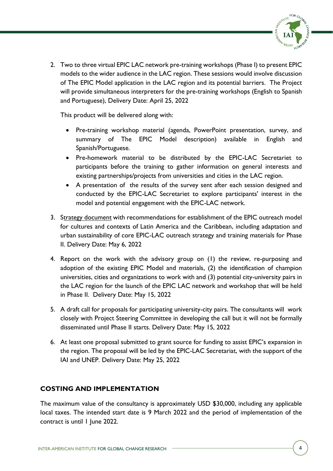

2. Two to three virtual EPIC LAC network pre-training workshops (Phase I) to present EPIC models to the wider audience in the LAC region. These sessions would involve discussion of The EPIC Model application in the LAC region and its potential barriers. The Project will provide simultaneous interpreters for the pre-training workshops (English to Spanish and Portuguese), Delivery Date: April 25, 2022

This product will be delivered along with:

- Pre-training workshop material (agenda, PowerPoint presentation, survey, and summary of The EPIC Model description) available in English and Spanish/Portuguese.
- Pre-homework material to be distributed by the EPIC-LAC Secretariet to participants before the training to gather information on general interests and existing partnerships/projects from universities and cities in the LAC region.
- A presentation of the results of the survey sent after each session designed and conducted by the EPIC-LAC Secretariet to explore participants' interest in the model and potential engagement with the EPIC-LAC network.
- 3. Strategy document with recommendations for establishment of the EPIC outreach model for cultures and contexts of Latin America and the Caribbean, including adaptation and urban sustainability of core EPIC-LAC outreach strategy and training materials for Phase II. Delivery Date: May 6, 2022
- 4. Report on the work with the advisory group on (1) the review, re-purposing and adoption of the existing EPIC Model and materials, (2) the identification of champion universities, cities and organizations to work with and (3) potential city-university pairs in the LAC region for the launch of the EPIC LAC network and workshop that will be held in Phase II. Delivery Date: May 15, 2022
- 5. A draft call for proposals for participating university-city pairs. The consultants will work closely with Project Steering Committee in developing the call but it will not be formally disseminated until Phase II starts. Delivery Date: May 15, 2022
- 6. At least one proposal submitted to grant source for funding to assist EPIC's expansion in the region. The proposal will be led by the EPIC-LAC Secretariat, with the support of the IAI and UNEP. Delivery Date: May 25, 2022

## **COSTING AND IMPLEMENTATION**

The maximum value of the consultancy is approximately USD \$30,000, including any applicable local taxes. The intended start date is 9 March 2022 and the period of implementation of the contract is until 1 June 2022.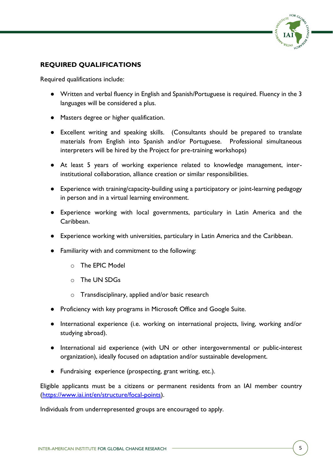

## **REQUIRED QUALIFICATIONS**

Required qualifications include:

- Written and verbal fluency in English and Spanish/Portuguese is required. Fluency in the 3 languages will be considered a plus.
- Masters degree or higher qualification.
- Excellent writing and speaking skills. (Consultants should be prepared to translate materials from English into Spanish and/or Portuguese. Professional simultaneous interpreters will be hired by the Project for pre-training workshops)
- At least 5 years of working experience related to knowledge management, interinstitutional collaboration, alliance creation or similar responsibilities.
- Experience with training/capacity-building using a participatory or joint-learning pedagogy in person and in a virtual learning environment.
- Experience working with local governments, particulary in Latin America and the Caribbean.
- Experience working with universities, particulary in Latin America and the Caribbean.
- Familiarity with and commitment to the following:
	- o The EPIC Model
	- o The UN SDGs
	- o Transdisciplinary, applied and/or basic research
- Proficiency with key programs in Microsoft Office and Google Suite.
- International experience (i.e. working on international projects, living, working and/or studying abroad).
- International aid experience (with UN or other intergovernmental or public-interest organization), ideally focused on adaptation and/or sustainable development.
- Fundraising experience (prospecting, grant writing, etc.).

Eligible applicants must be a citizens or permanent residents from an IAI member country [\(https://www.iai.int/en/structure/focal-points\)](https://www.iai.int/en/structure/focal-points).

Individuals from underrepresented groups are encouraged to apply.